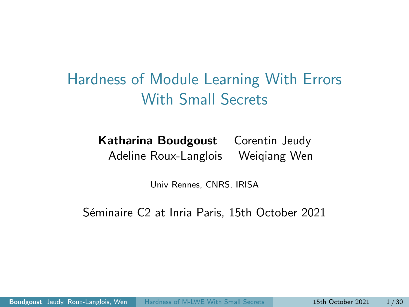<span id="page-0-0"></span>Hardness of Module Learning With Errors With Small Secrets

> Katharina Boudgoust Corentin Jeudy Adeline Roux-Langlois Weiqiang Wen

> > Univ Rennes, CNRS, IRISA

Séminaire C2 at Inria Paris, 15th October 2021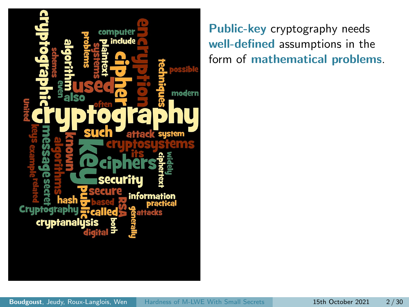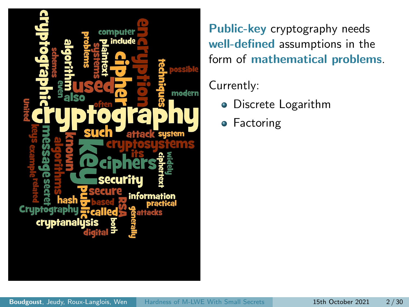

#### Currently:

- Discrete Logarithm
- **•** Factoring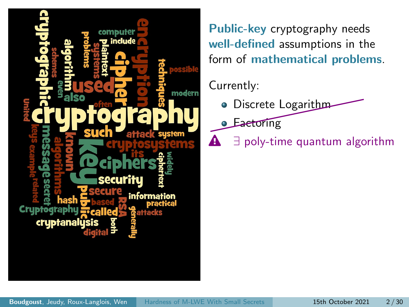

#### Currently:

- **O** Discrete Logarithm
- **Eactoring**
- $\mathbf{A}$   $\exists$  poly-time quantum algorithm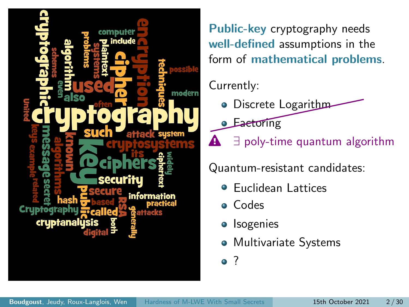

#### Currently:

- **O** Discrete Logarithm
- **Eactoring**
- **A**  $\exists$  poly-time quantum algorithm

Quantum-resistant candidates:

- Euclidean Lattices
- Codes
- Isogenies
- Multivariate Systems

<sup>2</sup>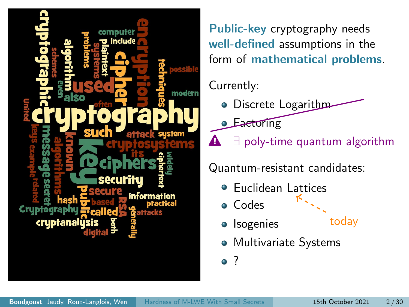

#### Currently:

- **O** Discrete Logarithm
- **Eactoring**
- **A**  $\exists$  poly-time quantum algorithm

Quantum-resistant candidates:

- Euclidean Lattices  $\bullet$
- Codes
- Isogenies
- today
- Multivariate Systems

<sup>2</sup>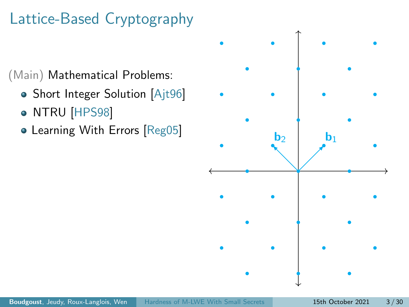# Lattice-Based Cryptography

(Main) Mathematical Problems:

- Short Integer Solution [\[Ajt96\]](#page-68-0)
- NTRU [\[HPS98\]](#page-70-0)
- Learning With Errors [\[Reg05\]](#page-71-1)

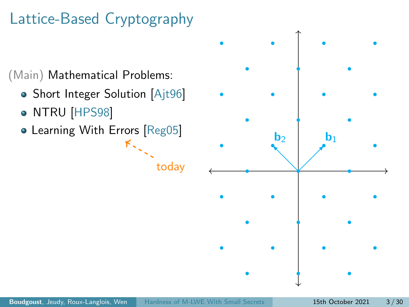# Lattice-Based Cryptography

(Main) Mathematical Problems:

- Short Integer Solution [\[Ajt96\]](#page-68-0)
- NTRU [\[HPS98\]](#page-70-0)
- Learning With Errors [\[Reg05\]](#page-71-1)  $K_{\infty}$



today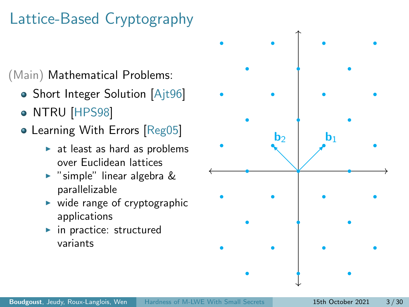# Lattice-Based Cryptography

(Main) Mathematical Problems:

- Short Integer Solution [\[Ajt96\]](#page-68-0)
- NTRU [\[HPS98\]](#page-70-0)
- Learning With Errors [\[Reg05\]](#page-71-1)
	- $\blacktriangleright$  at least as hard as problems over Euclidean lattices
	- $\triangleright$  "simple" linear algebra & parallelizable
	- $\triangleright$  wide range of cryptographic applications
	- $\blacktriangleright$  in practice: structured variants

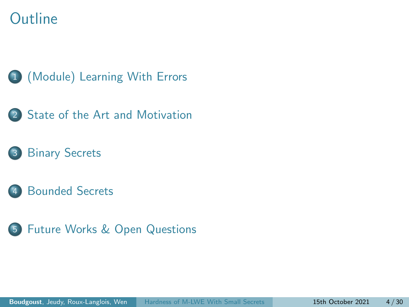### Outline









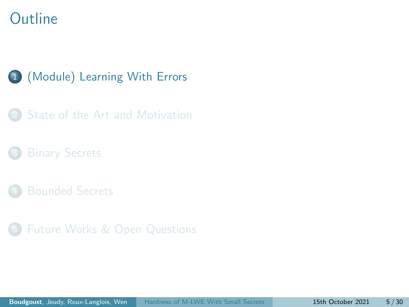### <span id="page-10-0"></span>**Outline**

#### 1 [\(Module\) Learning With Errors](#page-10-0)

[State of the Art and Motivation](#page-30-0)

- 
- 5 [Future Works & Open Questions](#page-63-0)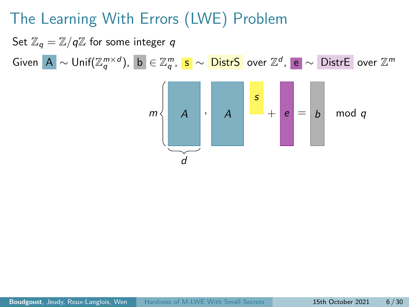Set  $\mathbb{Z}_q = \mathbb{Z}/q\mathbb{Z}$  for some integer q Given  $\vert {\bf A} \vert \sim {\sf Unif}({\mathbb Z}_q^{m \times d}), \ \vert {\bf b} \vert \in {\mathbb Z}_q^m, \ \vert {\bf s} \vert \sim \overline {\sf DistrS} \ \ \text{over} \ {\mathbb Z}^d, \ \vert {\bf e} \vert \sim \overline {\sf DistrE} \ \ \text{over} \ {\mathbb Z}^m$ 

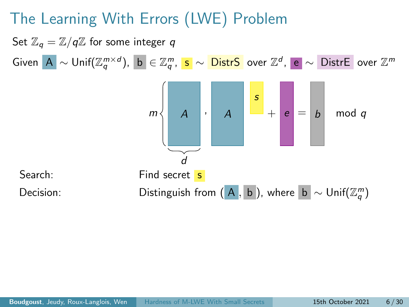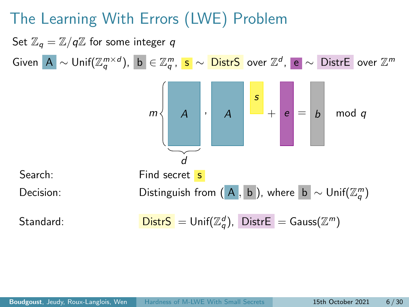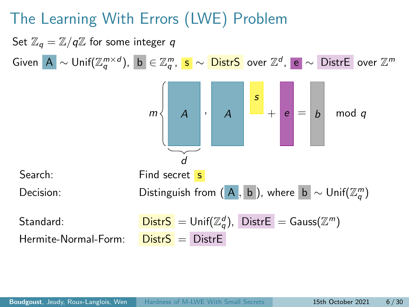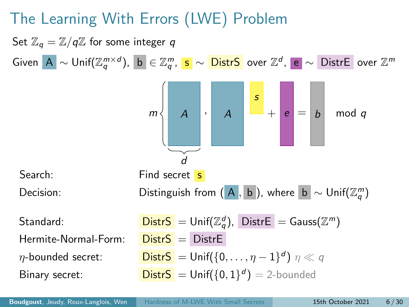Set  $\mathbb{Z}_q = \mathbb{Z}/q\mathbb{Z}$  for some integer q Given  $\vert {\bf A} \vert \sim {\sf Unif}({\mathbb Z}_q^{m \times d}), \ \vert {\bf b} \vert \in {\mathbb Z}_q^m, \ \vert {\bf s} \vert \sim \overline {\sf DistrS} \ \ \text{over} \ {\mathbb Z}^d, \ \vert {\bf e} \vert \sim \overline {\sf DistrE} \ \ \text{over} \ {\mathbb Z}^m$  $A \mid \cdot \mid A$ s  $m \leftarrow A \quad | \quad A \quad | \quad - + | \quad e \mid = | \quad b \quad \mod q$ d Search: Find secret s Decision: Distinguish from  $(A, b)$ , where  $b \sim \textsf{Unif}(\mathbb{Z}_q^m)$  $\mathsf{StartS} = \mathsf{Unif}(\mathbb{Z}_q^d)$ ,  $\mathsf{DistrE} = \mathsf{Gauss}(\mathbb{Z}^m)$ Hermite-Normal-Form:  $Dist S = Dist F$  $\eta$ -bounded secret: Distr $S = \mathsf{Unif}(\{0,\ldots,\eta-1\}^d)$   $\eta \ll q$ **Binary secret:** Distr $S = \text{Unif}(\{0, 1\}^d) = 2$ -bounded

Boudgoust, Jeudy, Roux-Langlois, Wen [Hardness of M-LWE With Small Secrets](#page-0-0) 15th October 2021 6/30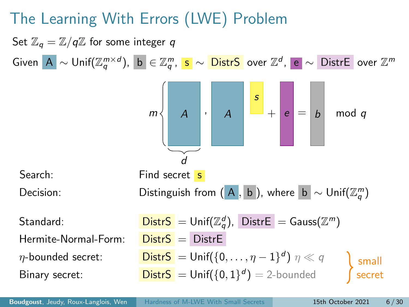Set  $\mathbb{Z}_q = \mathbb{Z}/q\mathbb{Z}$  for some integer q Given  $\vert {\bf A} \vert \sim {\sf Unif}({\mathbb Z}_q^{m \times d}), \ \vert {\bf b} \vert \in {\mathbb Z}_q^m, \ \vert {\bf s} \vert \sim \overline {\sf DistrS} \ \ \text{over} \ {\mathbb Z}^d, \ \vert {\bf e} \vert \sim \overline {\sf DistrE} \ \ \text{over} \ {\mathbb Z}^m$  $A \mid \cdot \mid A$ s  $m \leftarrow A \quad | \quad A \quad | \quad - + | \quad e \mid = | \quad b \quad \mod q$ d Search: Find secret s Decision: Distinguish from  $(A, b)$ , where  $b \sim \textsf{Unif}(\mathbb{Z}_q^m)$  $\mathsf{StartS} = \mathsf{Unif}(\mathbb{Z}_q^d)$ ,  $\mathsf{DistrE} = \mathsf{Gauss}(\mathbb{Z}^m)$ Hermite-Normal-Form:  $Dist S = Dist F$  $\eta$ -bounded secret: Distr $S = \mathsf{Unif}(\{0,\ldots,\eta-1\}^d)$   $\eta \ll q$ **Binary secret:** Distr $S = \text{Unif}(\{0, 1\}^d) = 2$ -bounded small secret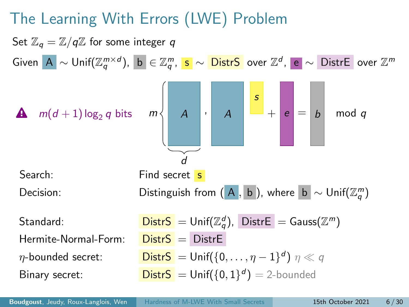

Boudgoust, Jeudy, Roux-Langlois, Wen [Hardness of M-LWE With Small Secrets](#page-0-0) 15th October 2021 6/30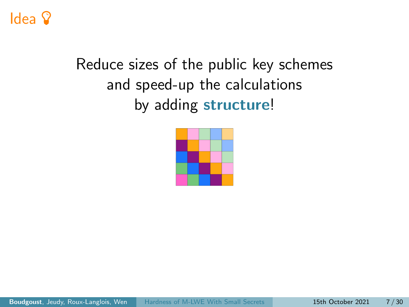## Idea <sup>2</sup>

# Reduce sizes of the public key schemes and speed-up the calculations by adding structure!

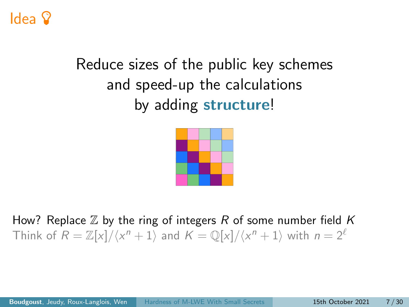## Idea

# Reduce sizes of the public key schemes and speed-up the calculations by adding structure!



How? Replace  $\mathbb Z$  by the ring of integers R of some number field K Think of  $R = \mathbb{Z}[x]/\langle x^n + 1 \rangle$  and  $K = \mathbb{Q}[x]/\langle x^n + 1 \rangle$  with  $n = 2^{\ell}$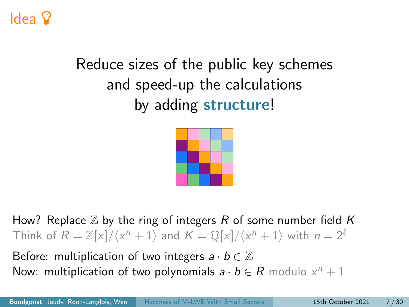## Idea

# Reduce sizes of the public key schemes and speed-up the calculations by adding structure!



How? Replace  $\mathbb Z$  by the ring of integers R of some number field K Think of  $R = \mathbb{Z}[x]/\langle x^n + 1 \rangle$  and  $K = \mathbb{Q}[x]/\langle x^n + 1 \rangle$  with  $n = 2^{\ell}$ 

Before: multiplication of two integers  $a \cdot b \in \mathbb{Z}$ Now: multiplication of two polynomials  $a \cdot b \in R$  modulo  $x^n + 1$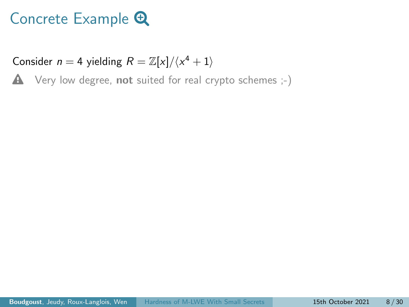## Concrete Example  $\bigoplus$

Consider  $n = 4$  yielding  $R = \mathbb{Z}[x]/\langle x^4 + 1 \rangle$ 

 $\triangle$  Very low degree, not suited for real crypto schemes  $;-$ )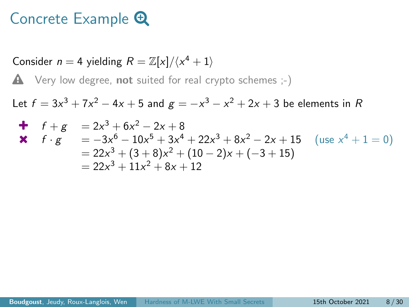#### Concrete Example  $\bigoplus$

Consider  $n = 4$  yielding  $R = \mathbb{Z}[x]/\langle x^4 + 1 \rangle$  $\triangle$  Very low degree, not suited for real crypto schemes  $;-$ ) Let  $f=3x^3+7x^2-4x+5$  and  $g=-x^3-x^2+2x+3$  be elements in  $\cal R$  $f + g = 2x^3 + 6x^2 - 2x + 8$ **≭**  $f \cdot g = -3x^6 - 10x^5 + 3x^4 + 22x^3 + 8x^2 - 2x + 15$  (use  $x^4 + 1 = 0$ )  $= 22x^3 + (3 + 8)x^2 + (10 - 2)x + (-3 + 15)$  $= 22x^3 + 11x^2 + 8x + 12$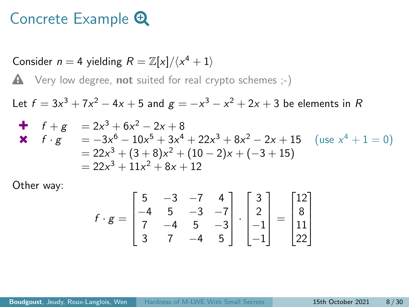#### Concrete Example  $\mathbf \Theta$

Consider  $n = 4$  yielding  $R = \mathbb{Z}[x]/\langle x^4 + 1 \rangle$  $\triangle$  Very low degree, not suited for real crypto schemes  $;-$ ) Let  $f=3x^3+7x^2-4x+5$  and  $g=-x^3-x^2+2x+3$  be elements in  $\cal R$  $f + g = 2x^3 + 6x^2 - 2x + 8$ **≭**  $f \cdot g = -3x^6 - 10x^5 + 3x^4 + 22x^3 + 8x^2 - 2x + 15$  (use  $x^4 + 1 = 0$ )  $= 22x^3 + (3 + 8)x^2 + (10 - 2)x + (-3 + 15)$  $= 22x^3 + 11x^2 + 8x + 12$ 

Other way:

$$
f \cdot g = \begin{bmatrix} 5 & -3 & -7 & 4 \\ -4 & 5 & -3 & -7 \\ 7 & -4 & 5 & -3 \\ 3 & 7 & -4 & 5 \end{bmatrix} \cdot \begin{bmatrix} 3 \\ 2 \\ -1 \\ -1 \end{bmatrix} = \begin{bmatrix} 12 \\ 8 \\ 11 \\ 22 \end{bmatrix}
$$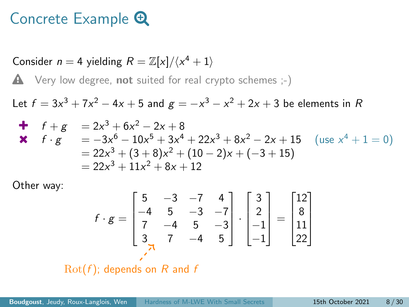#### Concrete Example  $\mathbf \Theta$

Consider  $n = 4$  yielding  $R = \mathbb{Z}[x]/\langle x^4 + 1 \rangle$  $\triangle$  Very low degree, not suited for real crypto schemes  $;-$ ) Let  $f=3x^3+7x^2-4x+5$  and  $g=-x^3-x^2+2x+3$  be elements in  $\cal R$  $f + g = 2x^3 + 6x^2 - 2x + 8$ **≭**  $f \cdot g = -3x^6 - 10x^5 + 3x^4 + 22x^3 + 8x^2 - 2x + 15$  (use  $x^4 + 1 = 0$ )  $= 22x^3 + (3 + 8)x^2 + (10 - 2)x + (-3 + 15)$  $= 22x^3 + 11x^2 + 8x + 12$ 

Other way:

$$
f \cdot g = \begin{bmatrix} 5 & -3 & -7 & 4 \\ -4 & 5 & -3 & -7 \\ 7 & -4 & 5 & -3 \\ 3 & 7 & -4 & 5 \end{bmatrix} \cdot \begin{bmatrix} 3 \\ 2 \\ -1 \\ -1 \end{bmatrix} = \begin{bmatrix} 12 \\ 8 \\ 11 \\ 22 \end{bmatrix}
$$

 $Rot(f)$ ; depends on R and f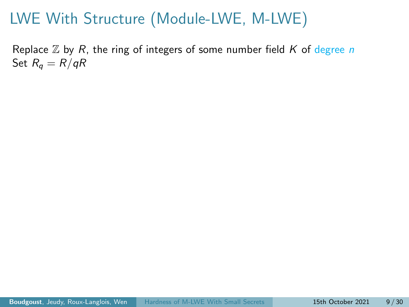Replace  $\mathbb Z$  by R, the ring of integers of some number field K of degree n Set  $R_q = R/qR$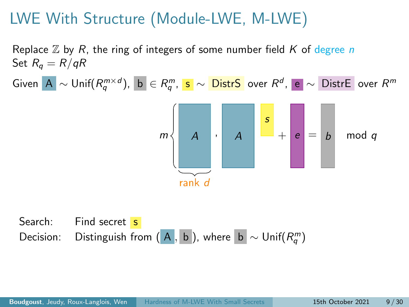Replace  $\mathbb Z$  by R, the ring of integers of some number field K of degree n Set  $R_q = R/qR$ 

Given A  $\sim$  Unif $(R_q^{m\times d})$ , b  $\in R_q^m$ , s  $\sim$  <mark>DistrS</mark> over  $R^d$ , e  $\sim$  DistrE over  $R^m$ 



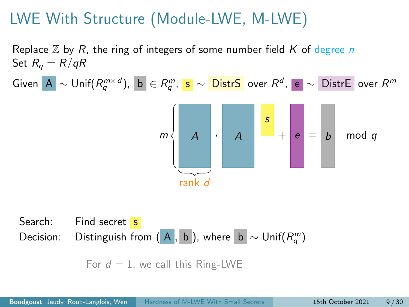Replace  $\mathbb Z$  by R, the ring of integers of some number field K of degree n Set  $R_q = R/qR$ 

Given A  $\sim$  Unif $(R_q^{m\times d})$ , b  $\in R_q^m$ , s  $\sim$  <mark>DistrS</mark> over  $R^d$ , e  $\sim$  DistrE over  $R^m$ 



Search: Find secret s Decision: Distinguish from  $(A, b)$ , where  $b \sim \mathsf{Unif}(R_q^m)$ 

For  $d = 1$ , we call this Ring-LWE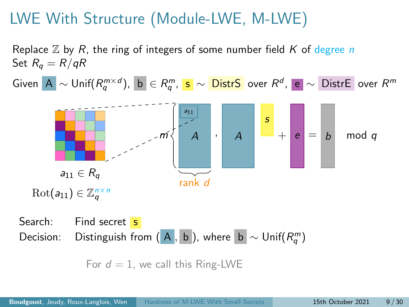Replace  $\mathbb Z$  by R, the ring of integers of some number field K of degree n Set  $R_q = R/qR$ 

Given A  $\sim$  Unif $(R_q^{m\times d})$ , b  $\in R_q^m$ , s  $\sim$  <mark>DistrS</mark> over  $R^d$ , e  $\sim$  DistrE over  $R^m$ 



Search: Find secret s Decision: Distinguish from  $(A, b)$ , where  $b \sim \mathsf{Unif}(R_q^m)$ 

For  $d = 1$ , we call this Ring-LWE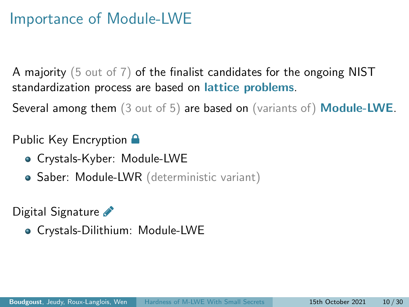#### Importance of Module-LWE

A majority (5 out of 7) of the finalist candidates for the ongoing NIST standardization process are based on *lattice* problems.

Several among them (3 out of 5) are based on (variants of) Module-LWE.

#### Public Key Encryption  $\blacksquare$

- Crystals-Kyber: Module-LWE
- Saber: Module-LWR (deterministic variant)

Digital Signature

Crystals-Dilithium: Module-LWE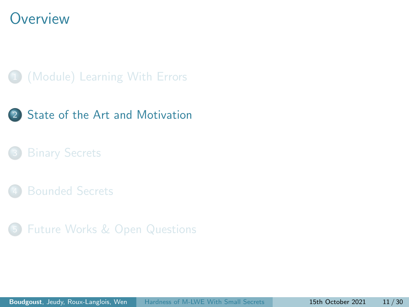#### <span id="page-30-0"></span>**Overview**

#### 1 [\(Module\) Learning With Errors](#page-10-0)



5 [Future Works & Open Questions](#page-63-0)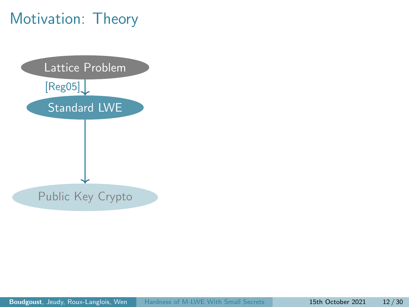## Motivation: Theory

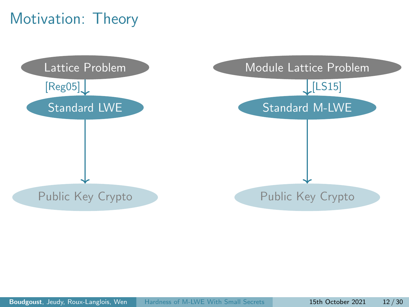## Motivation: Theory

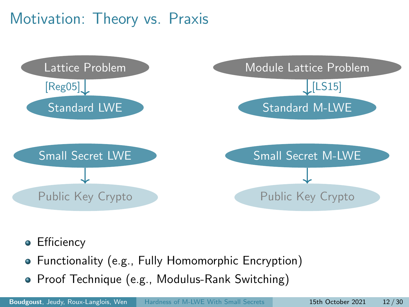### Motivation: Theory vs. Praxis



- **•** Efficiency
- Functionality (e.g., Fully Homomorphic Encryption)
- Proof Technique (e.g., Modulus-Rank Switching)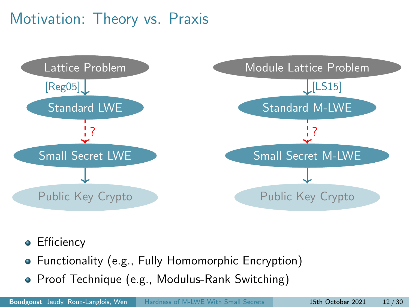### Motivation: Theory vs. Praxis



- **•** Efficiency
- Functionality (e.g., Fully Homomorphic Encryption)
- Proof Technique (e.g., Modulus-Rank Switching)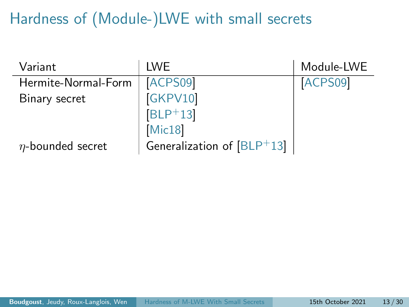# Hardness of (Module-)LWE with small secrets

| Variant                | I WE                         | Module-LWE |
|------------------------|------------------------------|------------|
| Hermite-Normal-Form    | ACPS09                       | ACPS09     |
| Binary secret          | <b>GKPV10</b>                |            |
|                        | $[BLP+13]$                   |            |
|                        | Mic18                        |            |
| $\eta$ -bounded secret | Generalization of $[BLP+13]$ |            |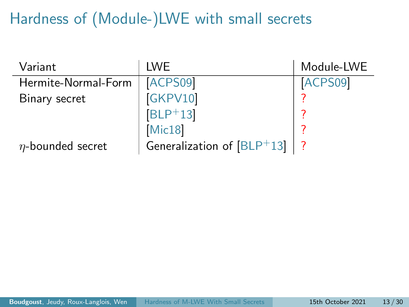# Hardness of (Module-)LWE with small secrets

| Variant                | <b>IWE</b>                   | Module-LWE |
|------------------------|------------------------------|------------|
| Hermite-Normal-Form    | ACPS09                       | ACPS09     |
| Binary secret          | [GKPV10]                     |            |
|                        | $[BLP+13]$                   |            |
|                        | Mic18                        |            |
| $\eta$ -bounded secret | Generalization of $[BLP+13]$ |            |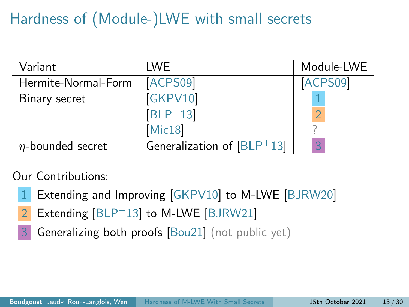# Hardness of (Module-)LWE with small secrets

| Variant                | I WE                         | Module-LWE |
|------------------------|------------------------------|------------|
| Hermite-Normal-Form    | ACPS09                       | ACPS09     |
| Binary secret          | [GKPV10]                     |            |
|                        | $[BLP+13]$                   |            |
|                        | Mic18                        |            |
| $\eta$ -bounded secret | Generalization of $[BLP+13]$ | 3          |

Our Contributions:

- Extending and Improving [\[GKPV10\]](#page-69-0) to M-LWE [\[BJRW20\]](#page-68-1)
- 2 Extending [\[BLP](#page-69-1)+13] to M-LWE [\[BJRW21\]](#page-69-2)
- 3 Generalizing both proofs [\[Bou21\]](#page-69-3) (not public yet)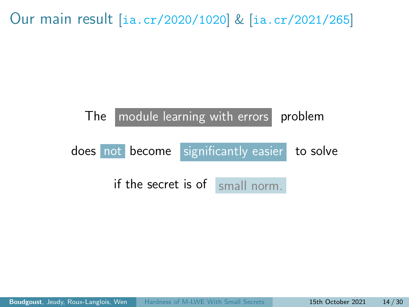Our main result [<ia.cr/2020/1020>] & [<ia.cr/2021/265>]

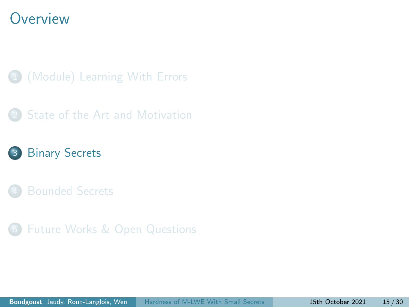#### <span id="page-39-0"></span>**Overview**

- 1 [\(Module\) Learning With Errors](#page-10-0)
- [State of the Art and Motivation](#page-30-0)
- 3 [Binary Secrets](#page-39-0)
- 
- 5 [Future Works & Open Questions](#page-63-0)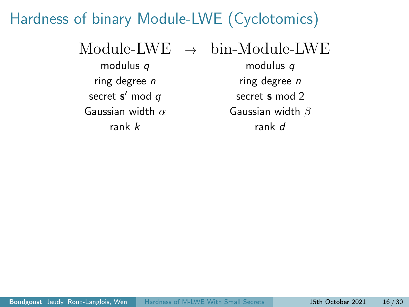### Hardness of binary Module-LWE (Cyclotomics)

 $\text{Module-}$   $\text{LWE} \rightarrow \text{bin-}$ Module-LWE modulus q modulus q

secret  $s'$  mod  $q$ Gaussian width  $\alpha$  Gaussian width  $\beta$ rank k rank d

ring degree *n* ring degree *n* secret s mod 2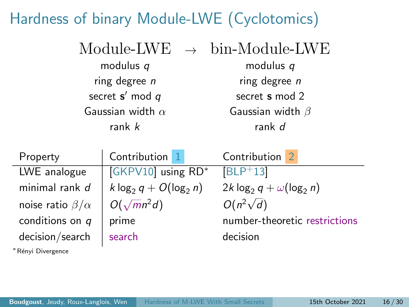## Hardness of binary Module-LWE (Cyclotomics)

|                         | $Module-LWE \rightarrow bin-Module-LWE$ |
|-------------------------|-----------------------------------------|
| modulus q               | modulus $q$                             |
| ring degree $n$         | ring degree $n$                         |
| secret $s'$ mod $q$     | secret s mod 2                          |
| Gaussian width $\alpha$ | Gaussian width $\beta$                  |
| rank $k$                | rank d                                  |

| Property                   | Contribution 1           | Contribution                     |
|----------------------------|--------------------------|----------------------------------|
| LWE analogue               | GKPV10 using RD*         | $ BLP+13 $                       |
| minimal rank d             | k $log_2 q + O(log_2 n)$ | $2k \log_2 q + \omega(\log_2 n)$ |
| noise ratio $\beta/\alpha$ | $O(\sqrt{mn^2d})$        | $O(n^2\sqrt{d})$                 |
| conditions on $q$          | prime                    | number-theoretic restrictions    |
| decision/search            | search                   | decision                         |

<sup>∗</sup>R´enyi Divergence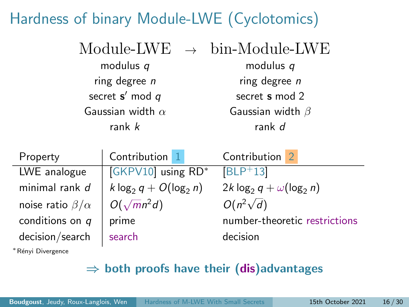## Hardness of binary Module-LWE (Cyclotomics)

|                         | $Module-LWE \rightarrow bin-Module-LWE$ |
|-------------------------|-----------------------------------------|
| modulus $q$             | modulus $q$                             |
| ring degree $n$         | ring degree $n$                         |
| secret $s'$ mod $q$     | secret s mod 2                          |
| Gaussian width $\alpha$ | Gaussian width $\beta$                  |
| rank $k$                | rank d                                  |

| Property                   | Contribution 1           | Contribution                     |
|----------------------------|--------------------------|----------------------------------|
| LWE analogue               | GKPV10 using RD*         | $[BLP+13]$                       |
| minimal rank d             | k $log_2 q + O(log_2 n)$ | $2k \log_2 q + \omega(\log_2 n)$ |
| noise ratio $\beta/\alpha$ | $O(\sqrt{m}n^2d)$        | $O(n^2\sqrt{d})$                 |
| conditions on $q$          | prime                    | number-theoretic restrictions    |
| decision/search            | search                   | decision                         |

<sup>∗</sup>R´enyi Divergence

#### $\Rightarrow$  both proofs have their (dis)advantages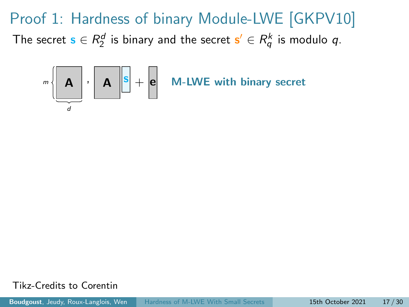

Tikz-Credits to Corentin

Boudgoust, Jeudy, Roux-Langlois, Wen [Hardness of M-LWE With Small Secrets](#page-0-0) 15th October 2021 17 / 30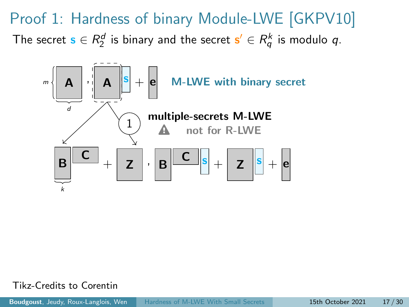Proof 1: Hardness of binary Module-LWE [\[GKPV10\]](#page-69-0) The secret  $\mathbf{s} \in R_2^d$  is binary and the secret  $\mathbf{s}' \in R_q^k$  is modulo  $q$ .

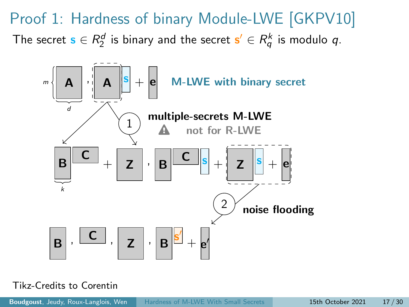Proof 1: Hardness of binary Module-LWE [\[GKPV10\]](#page-69-0) The secret  $\mathbf{s} \in R_2^d$  is binary and the secret  $\mathbf{s}' \in R_q^k$  is modulo  $q$ .

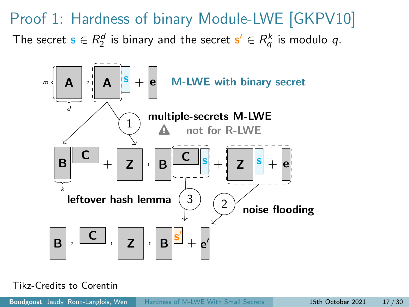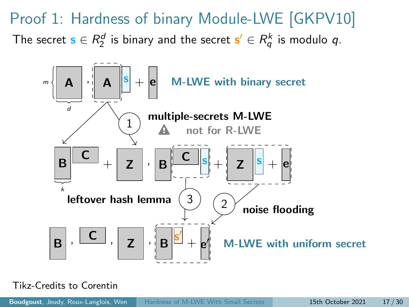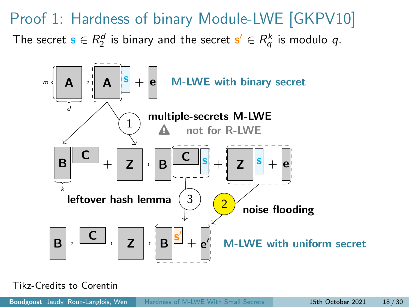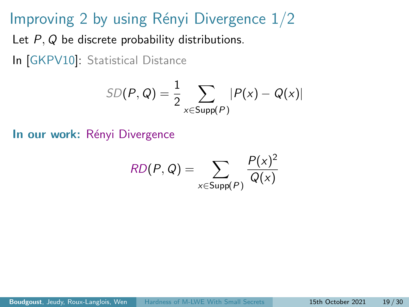#### Improving 2 by using Rényi Divergence  $1/2$

Let P, Q be discrete probability distributions.

In [\[GKPV10\]](#page-69-0): Statistical Distance

$$
SD(P, Q) = \frac{1}{2} \sum_{x \in Supp(P)} |P(x) - Q(x)|
$$

In our work: Rényi Divergence

$$
RD(P,Q) = \sum_{x \in \text{Supp}(P)} \frac{P(x)^2}{Q(x)}
$$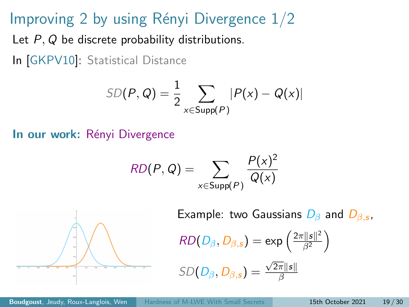### Improving 2 by using Rényi Divergence  $1/2$

Let P, Q be discrete probability distributions.

In [\[GKPV10\]](#page-69-0): Statistical Distance

$$
SD(P, Q) = \frac{1}{2} \sum_{x \in \text{Supp}(P)} |P(x) - Q(x)|
$$

In our work: Rényi Divergence

$$
RD(P,Q) = \sum_{x \in \text{Supp}(P)} \frac{P(x)^2}{Q(x)}
$$



Example: two Gaussians  $D_{\beta}$  and  $D_{\beta,s}$ ,

$$
RD(D_{\beta}, D_{\beta,s}) = \exp\left(\frac{2\pi ||s||^2}{\beta^2}\right)
$$

$$
SD(D_{\beta}, D_{\beta,s}) = \frac{\sqrt{2\pi} \|s\|}{\beta}
$$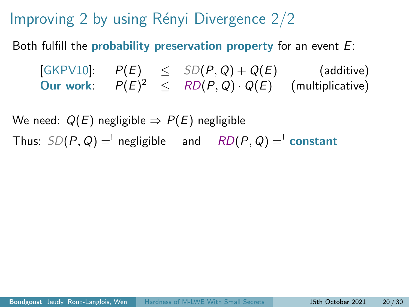Improving 2 by using Rényi Divergence  $2/2$ 

Both fulfill the probability preservation property for an event  $E$ :

[\[GKPV10\]](#page-69-0):  $P(E) \leq SD(P,Q) + Q(E)$  (additive) Our work:  $P(E)^2 \leq R D(P,Q) \cdot Q(E)$  (multiplicative)

We need:  $Q(E)$  negligible  $\Rightarrow P(E)$  negligible Thus:  $SD(P, Q) =$ <sup>'</sup> negligible and  $RD(P, Q) =$ <sup>'</sup> constant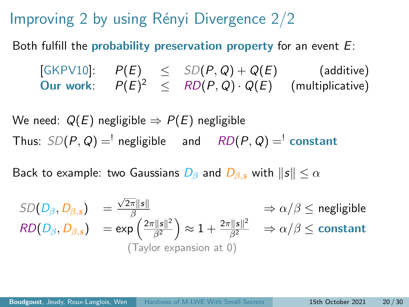Improving 2 by using Rényi Divergence  $2/2$ 

Both fulfill the probability preservation property for an event  $E$ :

[\[GKPV10\]](#page-69-0):  $P(E) \leq SD(P,Q) + Q(E)$  (additive) Our work:  $P(E)^2 \leq R D(P,Q) \cdot Q(E)$  (multiplicative)

We need:  $Q(E)$  negligible  $\Rightarrow P(E)$  negligible Thus:  $SD(P, Q) =$ <sup>'</sup> negligible and  $RD(P, Q) =$ <sup>'</sup> constant

Back to example: two Gaussians  $D_\beta$  and  $D_\beta$ , with  $\|s\| \leq \alpha$ 

$$
SD(D_{\beta}, D_{\beta,s}) = \frac{\sqrt{2\pi} \|s\|}{\beta} \implies \alpha/\beta \le \text{negligible}
$$
  
\n
$$
RD(D_{\beta}, D_{\beta,s}) = \exp\left(\frac{2\pi \|s\|^2}{\beta^2}\right) \approx 1 + \frac{2\pi \|s\|^2}{\beta^2} \implies \alpha/\beta \le \text{constant}
$$
  
\n(Taylor expansion at 0)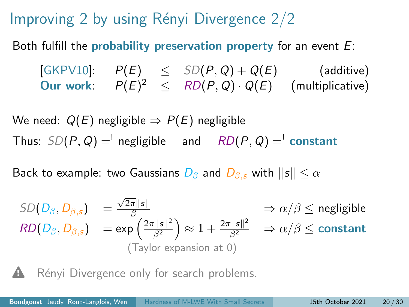Improving 2 by using Rényi Divergence  $2/2$ 

Both fulfill the probability preservation property for an event  $E$ :

 $[\mathsf{GKPV10}]: \quad P(E) \quad\leq\quad SD(P,Q) + Q(E) \qquad\qquad\text{(additive)}$ Our work:  $P(E)^2 \leq R D(P,Q) \cdot Q(E)$  (multiplicative)

We need:  $Q(E)$  negligible  $\Rightarrow P(E)$  negligible Thus:  $SD(P, Q) =$ <sup>'</sup> negligible and  $RD(P, Q) =$ <sup>'</sup> constant

Back to example: two Gaussians  $D_\beta$  and  $D_{\beta,s}$  with  $\|s\| \leq \alpha$ 

$$
SD(D_{\beta}, D_{\beta,s}) = \frac{\sqrt{2\pi} \|s\|}{\beta} \implies \alpha/\beta \le \text{negligible}
$$
  
\n
$$
RD(D_{\beta}, D_{\beta,s}) = \exp\left(\frac{2\pi \|s\|^2}{\beta^2}\right) \approx 1 + \frac{2\pi \|s\|^2}{\beta^2} \implies \alpha/\beta \le \text{constant}
$$
  
\n(Taylor expansion at 0)

Rényi Divergence only for search problems.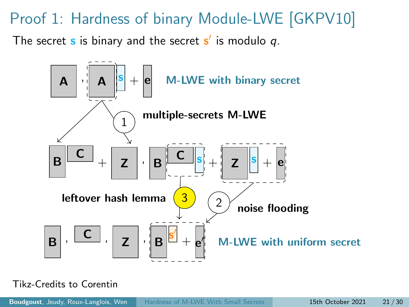#### Proof 1: Hardness of binary Module-LWE [\[GKPV10\]](#page-69-0)

The secret  $\bf s$  is binary and the secret  $\bf s'$  is modulo  $q.$ 

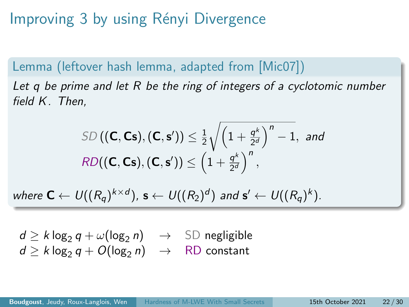Improving 3 by using Rényi Divergence

Lemma (leftover hash lemma, adapted from [\[Mic07\]](#page-70-0)) Let q be prime and let R be the ring of integers of a cyclotomic number field K. Then,

$$
\text{SD}\left((\mathbf{C},\mathbf{Cs}),(\mathbf{C},\mathbf{s}')\right) \leq \frac{1}{2} \sqrt{\left(1+\frac{q^k}{2^d}\right)^n - 1}, \text{ and}
$$
\n
$$
\text{RD}\left((\mathbf{C},\mathbf{Cs}),(\mathbf{C},\mathbf{s}')\right) \leq \left(1+\frac{q^k}{2^d}\right)^n,
$$

where  $\textsf{C}\leftarrow \textsf{U}((R_{{\mathsf{q}}})^{k\times d})$ ,  $\textsf{s}\leftarrow \textsf{U}((R_2)^d)$  and  $\textsf{s}'\leftarrow \textsf{U}((R_{{\mathsf{q}}})^k)$ .

 $d \ge k \log_2 q + \omega(\log_2 n) \rightarrow \text{SD negligible}$  $d > k \log_2 q + O(\log_2 n) \rightarrow \text{RD constant}$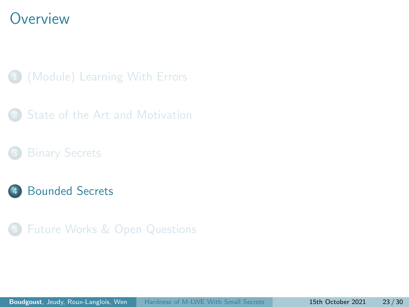#### <span id="page-56-0"></span>**Overview**

- 1 [\(Module\) Learning With Errors](#page-10-0)
- [State of the Art and Motivation](#page-30-0)
- 
- **[Bounded Secrets](#page-56-0)**
- 5 [Future Works & Open Questions](#page-63-0)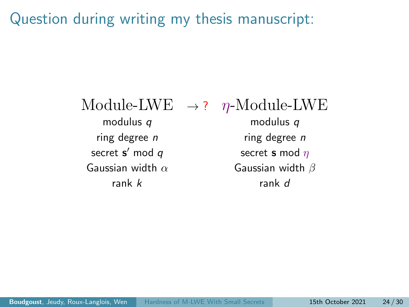Question during writing my thesis manuscript:

modulus q modulus q ring degree  $n$  ring degree  $n$ secret  $s'$  mod  $q$ Gaussian width  $\alpha$  Gaussian width  $\beta$ rank  $k$  rank d

Module-LWE  $\rightarrow$  ?  $n$ -Module-LWE

secret **s** mod  $\eta$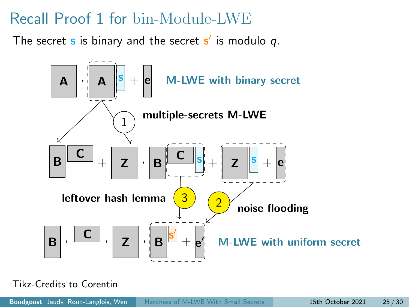### Recall Proof 1 for bin-Module-LWE

The secret  $\bf s$  is binary and the secret  $\bf s'$  is modulo  $q.$ 

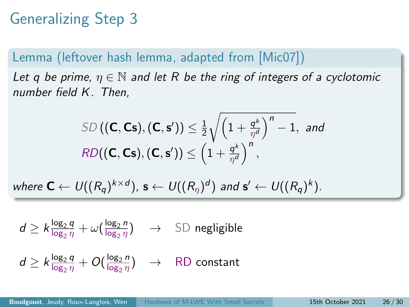# Generalizing Step 3

#### Lemma (leftover hash lemma, adapted from [\[Mic07\]](#page-70-0))

Let q be prime,  $\eta \in \mathbb{N}$  and let R be the ring of integers of a cyclotomic number field K. Then,

$$
\text{SD}\left((\mathbf{C},\mathbf{Cs}),(\mathbf{C},\mathbf{s}')\right) \leq \frac{1}{2} \sqrt{\left(1 + \frac{q^k}{\eta^d}\right)^n - 1}, \text{ and}
$$
\n
$$
\text{RD}((\mathbf{C},\mathbf{Cs}),(\mathbf{C},\mathbf{s}') ) \leq \left(1 + \frac{q^k}{\eta^d}\right)^n,
$$

where  $\mathbf{C} \leftarrow U((R_q)^{k \times d})$ ,  $\mathbf{s} \leftarrow U((R_\eta)^d)$  and  $\mathbf{s}' \leftarrow U((R_q)^k)$ .

$$
d \geq k \frac{\log_2 q}{\log_2 \eta} + \omega \left( \frac{\log_2 n}{\log_2 \eta} \right) \quad \to \quad \text{SD negligible}
$$

$$
d \geq k \frac{\log_2 q}{\log_2 \eta} + O(\frac{\log_2 n}{\log_2 \eta}) \quad \to \quad \text{\rm RD \ constant}
$$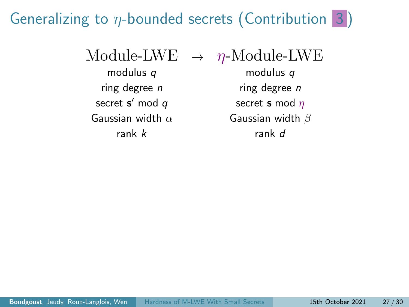### Generalizing to  $\eta$ -bounded secrets (Contribution 3)

Module-LWE  $\rightarrow \eta$ -Module-LWE

secret  $s'$  mod  $q$ 

modulus q modulus q ring degree  $n$  ring degree  $n$ secret **s** mod  $\eta$ Gaussian width  $\alpha$  Gaussian width  $\beta$ rank k rank d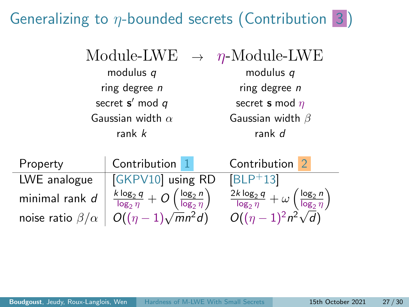## Generalizing to  $\eta$ -bounded secrets (Contribution 3)

| Module-LWE |
|------------|
|------------|

secret  $s'$  mod  $q$ 

 $\rightarrow$  η-Module-LWE modulus q modulus q ring degree  $n$  ring degree  $n$ secret **s** mod  $\eta$ Gaussian width  $\alpha$  Gaussian width  $\beta$ rank k rank d

| Property                   | Contribution 1                                                                | Contribution <sub>2</sub>                                                             |
|----------------------------|-------------------------------------------------------------------------------|---------------------------------------------------------------------------------------|
| LWE analogue               | [GKPV10] using RD                                                             | $ BLP+13 $                                                                            |
| minimal rank $d$           | $\frac{k \log_2 q}{\log_2 \eta} + O\left(\frac{\log_2 n}{\log_2 \eta}\right)$ | $\frac{2k\log_2 q}{\log_2 \eta} + \omega \left( \frac{\log_2 n}{\log_2 \eta} \right)$ |
| noise ratio $\beta/\alpha$ | $O((\eta-1)\sqrt{m}n^2d)$                                                     | $O((\eta-1)^2n^2\sqrt{d})$                                                            |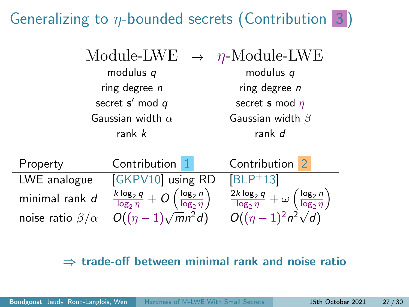## Generalizing to  $\eta$ -bounded secrets (Contribution 3)

secret  $s'$  mod  $q$ 

 $\eta$ -Module-LWE modulus q modulus q ring degree  $n$  ring degree  $n$ secret **s** mod  $\eta$ Gaussian width  $\alpha$  Gaussian width  $\beta$ rank k rank d

| Property                   | Contribution 1                                                                | Contribution 2                                                                         |
|----------------------------|-------------------------------------------------------------------------------|----------------------------------------------------------------------------------------|
| LWE analogue               | GKPV10 using RD                                                               | $ BLP+13 $                                                                             |
| minimal rank $d$           | $\frac{k \log_2 q}{\log_2 \eta} + O\left(\frac{\log_2 n}{\log_2 \eta}\right)$ | $\frac{2k \log_2 q}{\log_2 \eta} + \omega \left( \frac{\log_2 n}{\log_2 \eta} \right)$ |
| noise ratio $\beta/\alpha$ | $O((\eta-1)\sqrt{m}n^2d)$                                                     | $O((\eta-1)^2n^2\sqrt{d})$                                                             |

#### $\Rightarrow$  trade-off between minimal rank and noise ratio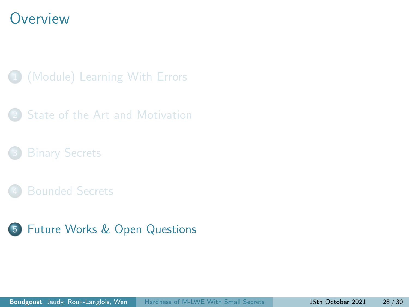#### <span id="page-63-0"></span>**Overview**

- 1 [\(Module\) Learning With Errors](#page-10-0)
- [State of the Art and Motivation](#page-30-0)
- 
- 
- 5 [Future Works & Open Questions](#page-63-0)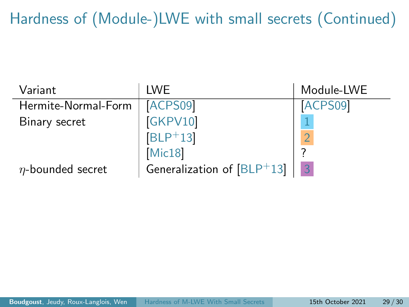Hardness of (Module-)LWE with small secrets (Continued)

| Variant                | <b>IWF</b>                   | Module-LWE     |
|------------------------|------------------------------|----------------|
| Hermite-Normal-Form    | ACPS09                       | ACPS09         |
| Binary secret          | GKPV10                       |                |
|                        | $ BLP+13 $                   |                |
|                        | Mic18                        |                |
| $\eta$ -bounded secret | Generalization of $[BLP+13]$ | $\overline{3}$ |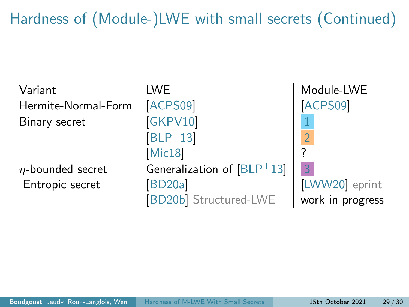Hardness of (Module-)LWE with small secrets (Continued)

| Variant                | <b>LWE</b>                   | Module-LWE       |
|------------------------|------------------------------|------------------|
| Hermite-Normal-Form    | ACPS09                       | ACPS09           |
| Binary secret          | GKPV10                       |                  |
|                        | $[BLP+13]$                   | $\overline{O}$   |
|                        | Mic18                        |                  |
| $\eta$ -bounded secret | Generalization of $[BLP+13]$ | 3                |
| Entropic secret        | <b>BD20a</b>                 | [LWW20] eprint   |
|                        | <b>BD20b</b> Structured-LWE  | work in progress |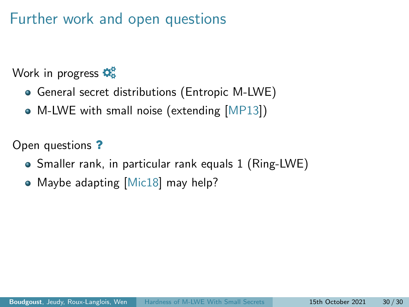### Further work and open questions

Work in progress  $\mathbf{\ddot{Q}_8}^2$ 

- General secret distributions (Entropic M-LWE)
- M-LWE with small noise (extending [\[MP13\]](#page-71-1))

Open questions ?

- Smaller rank, in particular rank equals 1 (Ring-LWE)
- Maybe adapting [\[Mic18\]](#page-71-0) may help?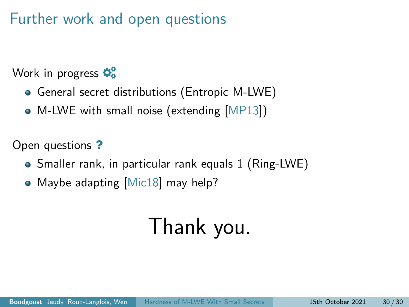### Further work and open questions

Work in progress  $\mathbf{\ddot{Q}_8}^2$ 

- General secret distributions (Entropic M-LWE)
- M-LWE with small noise (extending [\[MP13\]](#page-71-1))

Open questions ?

- Smaller rank, in particular rank equals 1 (Ring-LWE)
- Maybe adapting [\[Mic18\]](#page-71-0) may help?

# Thank you.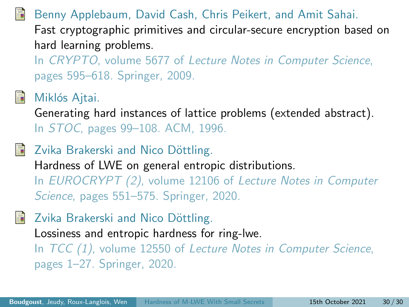<span id="page-68-0"></span>Benny Applebaum, David Cash, Chris Peikert, and Amit Sahai. Fast cryptographic primitives and circular-secure encryption based on hard learning problems.

In CRYPTO, volume 5677 of Lecture Notes in Computer Science, pages 595–618. Springer, 2009.



#### Miklós Ajtai.

Generating hard instances of lattice problems (extended abstract). In STOC, pages 99–108. ACM, 1996.

<span id="page-68-2"></span>Zvika Brakerski and Nico Döttling. Hardness of LWE on general entropic distributions. In EUROCRYPT (2), volume 12106 of Lecture Notes in Computer Science, pages 551–575. Springer, 2020.

<span id="page-68-3"></span>Zvika Brakerski and Nico Döttling.

Lossiness and entropic hardness for ring-lwe.

<span id="page-68-1"></span>In TCC (1), volume 12550 of Lecture Notes in Computer Science, pages 1–27. Springer, 2020.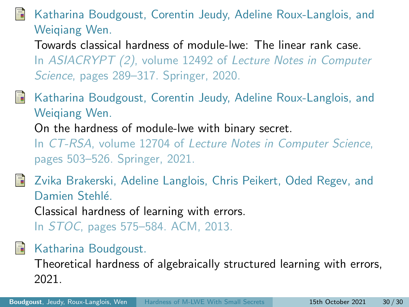#### Katharina Boudgoust, Corentin Jeudy, Adeline Roux-Langlois, and Weiqiang Wen.

Towards classical hardness of module-lwe: The linear rank case. In ASIACRYPT (2), volume 12492 of Lecture Notes in Computer Science, pages 289–317. Springer, 2020.

- <span id="page-69-2"></span>Katharina Boudgoust, Corentin Jeudy, Adeline Roux-Langlois, and Weiqiang Wen. On the hardness of module-lwe with binary secret. In CT-RSA, volume 12704 of Lecture Notes in Computer Science, pages 503–526. Springer, 2021.
- <span id="page-69-1"></span>Zvika Brakerski, Adeline Langlois, Chris Peikert, Oded Regev, and Damien Stehlé

Classical hardness of learning with errors.

In STOC, pages 575–584. ACM, 2013.

<span id="page-69-3"></span>譶 Katharina Boudgoust.

> <span id="page-69-0"></span>Theoretical hardness of algebraically structured learning with errors, 2021.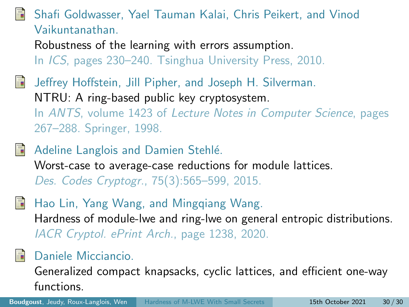#### Shafi Goldwasser, Yael Tauman Kalai, Chris Peikert, and Vinod Vaikuntanathan.

Robustness of the learning with errors assumption. In ICS, pages 230–240. Tsinghua University Press, 2010.

- Jeffrey Hoffstein, Jill Pipher, and Joseph H. Silverman. NTRU: A ring-based public key cryptosystem. In ANTS, volume 1423 of Lecture Notes in Computer Science, pages 267–288. Springer, 1998.
- Adeline Langlois and Damien Stehlé. Worst-case to average-case reductions for module lattices. Des. Codes Cryptogr., 75(3):565–599, 2015.
- <span id="page-70-1"></span>Hao Lin, Yang Wang, and Mingqiang Wang. Hardness of module-lwe and ring-lwe on general entropic distributions. IACR Cryptol. ePrint Arch., page 1238, 2020.

#### <span id="page-70-0"></span>Daniele Micciancio.

Generalized compact knapsacks, cyclic lattices, and efficient one-way functions.